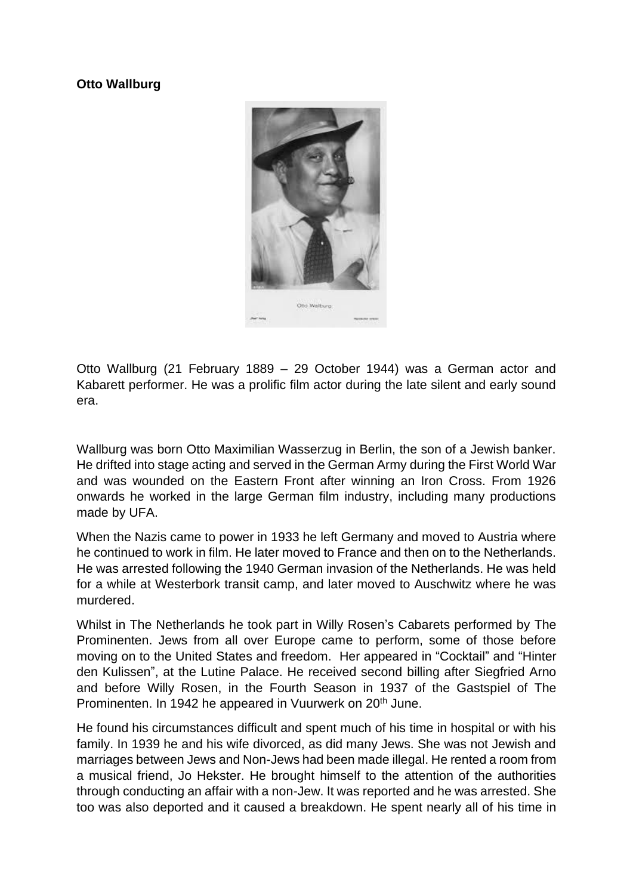## **Otto Wallburg**



Otto Wallburg (21 February 1889 – 29 October 1944) was a German actor and Kabarett performer. He was a prolific film actor during the late silent and early sound era.

Wallburg was born Otto Maximilian Wasserzug in Berlin, the son of a Jewish banker. He drifted into stage acting and served in the German Army during the First World War and was wounded on the Eastern Front after winning an Iron Cross. From 1926 onwards he worked in the large German film industry, including many productions made by UFA.

When the Nazis came to power in 1933 he left Germany and moved to Austria where he continued to work in film. He later moved to France and then on to the Netherlands. He was arrested following the 1940 German invasion of the Netherlands. He was held for a while at Westerbork transit camp, and later moved to Auschwitz where he was murdered.

Whilst in The Netherlands he took part in Willy Rosen's Cabarets performed by The Prominenten. Jews from all over Europe came to perform, some of those before moving on to the United States and freedom. Her appeared in "Cocktail" and "Hinter den Kulissen", at the Lutine Palace. He received second billing after Siegfried Arno and before Willy Rosen, in the Fourth Season in 1937 of the Gastspiel of The Prominenten. In 1942 he appeared in Vuurwerk on 20<sup>th</sup> June.

He found his circumstances difficult and spent much of his time in hospital or with his family. In 1939 he and his wife divorced, as did many Jews. She was not Jewish and marriages between Jews and Non-Jews had been made illegal. He rented a room from a musical friend, Jo Hekster. He brought himself to the attention of the authorities through conducting an affair with a non-Jew. It was reported and he was arrested. She too was also deported and it caused a breakdown. He spent nearly all of his time in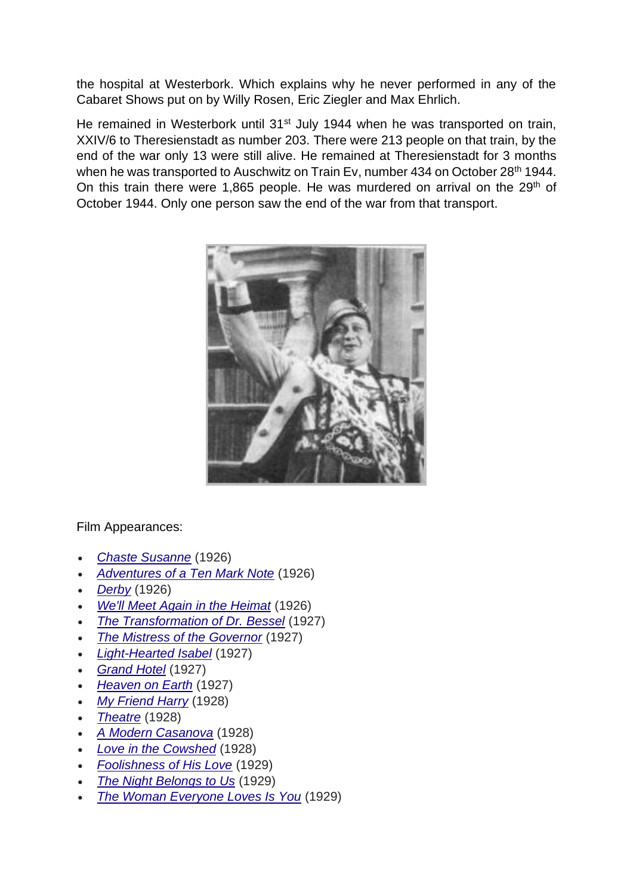the hospital at Westerbork. Which explains why he never performed in any of the Cabaret Shows put on by Willy Rosen, Eric Ziegler and Max Ehrlich.

He remained in Westerbork until 31<sup>st</sup> July 1944 when he was transported on train, XXIV/6 to Theresienstadt as number 203. There were 213 people on that train, by the end of the war only 13 were still alive. He remained at Theresienstadt for 3 months when he was transported to Auschwitz on Train Ev, number 434 on October 28<sup>th</sup> 1944. On this train there were 1,865 people. He was murdered on arrival on the 29<sup>th</sup> of October 1944. Only one person saw the end of the war from that transport.



Film Appearances:

- *[Chaste Susanne](https://en.wikipedia.org/wiki/Chaste_Susanne_(film))* (1926)
- *[Adventures of a Ten Mark Note](https://en.wikipedia.org/wiki/Adventures_of_a_Ten_Mark_Note)* (1926)
- *[Derby](https://en.wikipedia.org/wiki/Derby_(1926_film))* (1926)
- *[We'll Meet Again in the Heimat](https://en.wikipedia.org/wiki/We%27ll_Meet_Again_in_the_Heimat)* (1926)
- *[The Transformation of Dr. Bessel](https://en.wikipedia.org/wiki/The_Transformation_of_Dr._Bessel)* (1927)
- *[The Mistress of the Governor](https://en.wikipedia.org/wiki/The_Mistress_of_the_Governor)* (1927)
- *[Light-Hearted Isabel](https://en.wikipedia.org/wiki/Light-Hearted_Isabel)* (1927)
- *[Grand Hotel](https://en.wikipedia.org/wiki/Grand_Hotel_(1927_film))* (1927)
- *[Heaven on Earth](https://en.wikipedia.org/wiki/Heaven_on_Earth_(1927_German_film))* (1927)
- *[My Friend Harry](https://en.wikipedia.org/wiki/My_Friend_Harry)* (1928)
- *[Theatre](https://en.wikipedia.org/wiki/Theatre_(film))* (1928)
- *[A Modern Casanova](https://en.wikipedia.org/wiki/A_Modern_Casanova)* (1928)
- *[Love in the Cowshed](https://en.wikipedia.org/wiki/Love_in_the_Cowshed)* (1928)
- *[Foolishness of His Love](https://en.wikipedia.org/wiki/Foolishness_of_His_Love)* (1929)
- *[The Night Belongs to Us](https://en.wikipedia.org/wiki/The_Night_Belongs_to_Us)* (1929)
- *[The Woman Everyone Loves Is You](https://en.wikipedia.org/wiki/The_Woman_Everyone_Loves_Is_You)* (1929)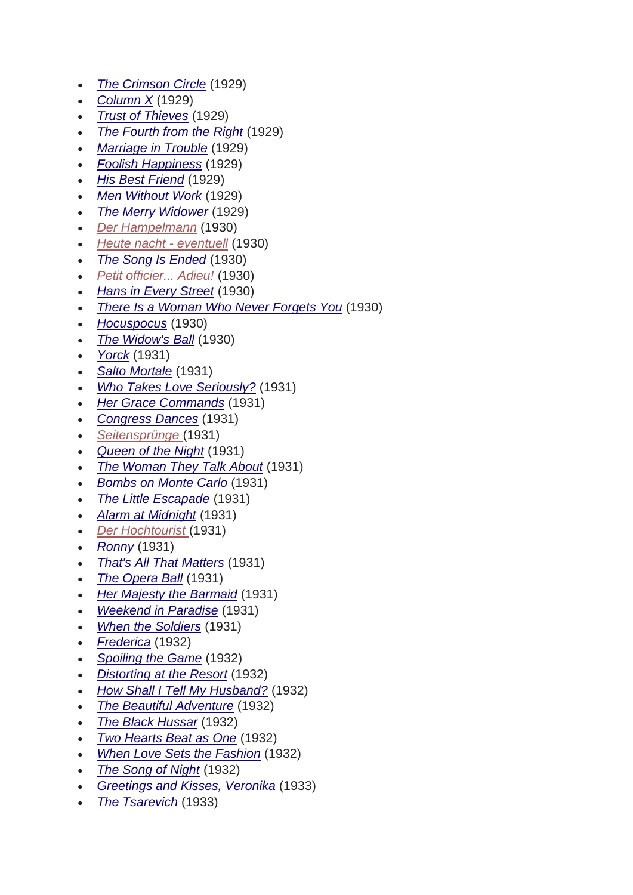- *[The Crimson Circle](https://en.wikipedia.org/wiki/The_Crimson_Circle_(1929_film))* (1929)
- *[Column X](https://en.wikipedia.org/wiki/Column_X)* (1929)
- *[Trust of Thieves](https://en.wikipedia.org/wiki/Trust_of_Thieves)* (1929)
- *[The Fourth from the Right](https://en.wikipedia.org/wiki/The_Fourth_from_the_Right)* (1929)
- *[Marriage in Trouble](https://en.wikipedia.org/wiki/Marriage_in_Trouble)* (1929)
- *[Foolish Happiness](https://en.wikipedia.org/wiki/Foolish_Happiness)* (1929)
- *[His Best Friend](https://en.wikipedia.org/wiki/His_Best_Friend_(1929_film))* (1929)
- *[Men Without Work](https://en.wikipedia.org/wiki/Men_Without_Work)* (1929)
- *[The Merry Widower](https://en.wikipedia.org/wiki/The_Merry_Widower)* (1929)
- *[Der Hampelmann](https://en.wikipedia.org/w/index.php?title=Der_Hampelmann&action=edit&redlink=1)* (1930)
- *[Heute nacht -](https://en.wikipedia.org/w/index.php?title=Heute_nacht_-_eventuell&action=edit&redlink=1) eventuell* (1930)
- *[The Song Is Ended](https://en.wikipedia.org/wiki/The_Song_Is_Ended)* (1930)
- *[Petit officier... Adieu!](https://en.wikipedia.org/w/index.php?title=Petit_officier..._Adieu!&action=edit&redlink=1)* (1930)
- *[Hans in Every Street](https://en.wikipedia.org/wiki/Hans_in_Every_Street)* (1930)
- *[There Is a Woman Who Never Forgets You](https://en.wikipedia.org/wiki/There_Is_a_Woman_Who_Never_Forgets_You)* (1930)
- *[Hocuspocus](https://en.wikipedia.org/wiki/Hocuspocus_(1930_film))* (1930)
- *[The Widow's Ball](https://en.wikipedia.org/wiki/The_Widow%27s_Ball)* (1930)
- *[Yorck](https://en.wikipedia.org/wiki/Yorck)* (1931)
- *[Salto Mortale](https://en.wikipedia.org/wiki/Salto_Mortale_(1931_German_film))* (1931)
- *[Who Takes Love Seriously?](https://en.wikipedia.org/wiki/Who_Takes_Love_Seriously%3F)* (1931)
- *[Her Grace Commands](https://en.wikipedia.org/wiki/Her_Grace_Commands)* (1931)
- *[Congress Dances](https://en.wikipedia.org/wiki/Congress_Dances)* (1931)
- *[Seitensprünge](https://en.wikipedia.org/w/index.php?title=Seitenspr%C3%BCnge&action=edit&redlink=1)* (1931)
- *[Queen of the Night](https://en.wikipedia.org/wiki/Queen_of_the_Night_(1931_German-language_film))* (1931)
- *[The Woman They Talk About](https://en.wikipedia.org/wiki/The_Woman_They_Talk_About)* (1931)
- *[Bombs on Monte Carlo](https://en.wikipedia.org/wiki/Bombs_on_Monte_Carlo_(1931_film))* (1931)
- *[The Little Escapade](https://en.wikipedia.org/wiki/The_Little_Escapade)* (1931)
- *[Alarm at Midnight](https://en.wikipedia.org/wiki/Alarm_at_Midnight)* (1931)
- *[Der Hochtourist](https://en.wikipedia.org/w/index.php?title=Der_Hochtourist&action=edit&redlink=1)* (1931)
- *[Ronny](https://en.wikipedia.org/wiki/Ronny_(1931_film))* (1931)
- *[That's All That Matters](https://en.wikipedia.org/wiki/That%27s_All_That_Matters_(film))* (1931)
- *[The Opera Ball](https://en.wikipedia.org/wiki/The_Opera_Ball_(1931_film))* (1931)
- *[Her Majesty the Barmaid](https://en.wikipedia.org/wiki/Her_Majesty_the_Barmaid)* (1931)
- *[Weekend in Paradise](https://en.wikipedia.org/wiki/Weekend_in_Paradise_(1931_film))* (1931)
- *[When the Soldiers](https://en.wikipedia.org/wiki/When_the_Soldiers)* (1931)
- *[Frederica](https://en.wikipedia.org/wiki/Frederica_(film))* (1932)
- *[Spoiling the Game](https://en.wikipedia.org/wiki/Spoiling_the_Game)* (1932)
- *[Distorting at the Resort](https://en.wikipedia.org/wiki/Distorting_at_the_Resort)* (1932)
- *[How Shall I Tell My Husband?](https://en.wikipedia.org/wiki/How_Shall_I_Tell_My_Husband%3F)* (1932)
- *[The Beautiful Adventure](https://en.wikipedia.org/wiki/The_Beautiful_Adventure_(1932_German-language_film))* (1932)
- *[The Black Hussar](https://en.wikipedia.org/wiki/The_Black_Hussar_(1932_film))* (1932)
- *[Two Hearts Beat as One](https://en.wikipedia.org/wiki/Two_Hearts_Beat_as_One_(film))* (1932)
- *[When Love Sets the Fashion](https://en.wikipedia.org/wiki/When_Love_Sets_the_Fashion)* (1932)
- *[The Song of Night](https://en.wikipedia.org/wiki/The_Song_of_Night)* (1932)
- *[Greetings and Kisses, Veronika](https://en.wikipedia.org/wiki/Greetings_and_Kisses,_Veronika)* (1933)
- *[The Tsarevich](https://en.wikipedia.org/wiki/The_Tsarevich_(1933_film))* (1933)